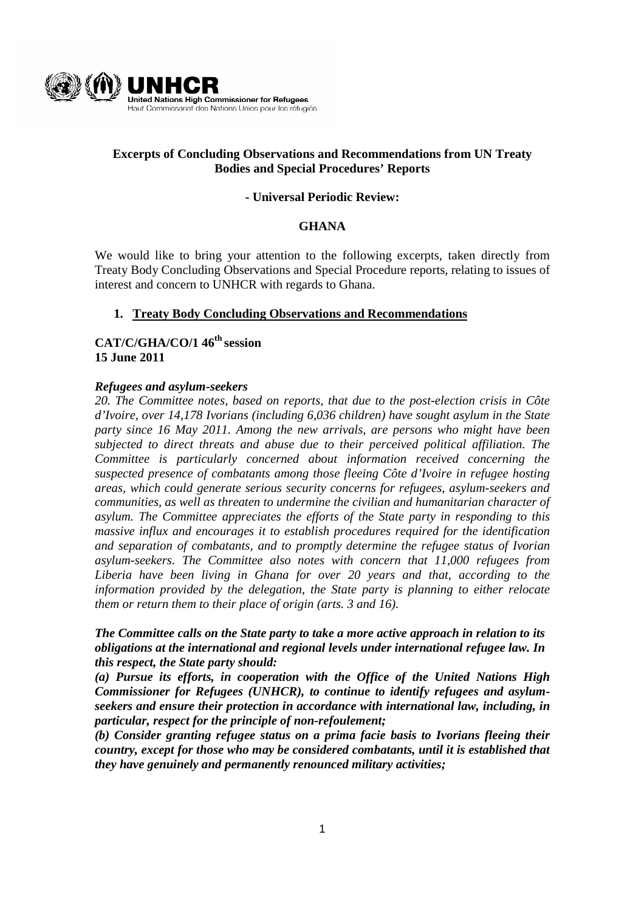

## **Excerpts of Concluding Observations and Recommendations from UN Treaty Bodies and Special Procedures' Reports**

### **- Universal Periodic Review:**

### **GHANA**

We would like to bring your attention to the following excerpts, taken directly from Treaty Body Concluding Observations and Special Procedure reports, relating to issues of interest and concern to UNHCR with regards to Ghana.

### **1. Treaty Body Concluding Observations and Recommendations**

# **CAT/C/GHA/CO/1 46th session 15 June 2011**

#### *Refugees and asylum-seekers*

*20. The Committee notes, based on reports, that due to the post-election crisis in Côte d'Ivoire, over 14,178 Ivorians (including 6,036 children) have sought asylum in the State party since 16 May 2011. Among the new arrivals, are persons who might have been subjected to direct threats and abuse due to their perceived political affiliation. The Committee is particularly concerned about information received concerning the suspected presence of combatants among those fleeing Côte d'Ivoire in refugee hosting areas, which could generate serious security concerns for refugees, asylum-seekers and communities, as well as threaten to undermine the civilian and humanitarian character of asylum. The Committee appreciates the efforts of the State party in responding to this massive influx and encourages it to establish procedures required for the identification and separation of combatants, and to promptly determine the refugee status of Ivorian asylum-seekers. The Committee also notes with concern that 11,000 refugees from Liberia have been living in Ghana for over 20 years and that, according to the information provided by the delegation, the State party is planning to either relocate them or return them to their place of origin (arts. 3 and 16).* 

*The Committee calls on the State party to take a more active approach in relation to its obligations at the international and regional levels under international refugee law. In this respect, the State party should:* 

*(a) Pursue its efforts, in cooperation with the Office of the United Nations High Commissioner for Refugees (UNHCR), to continue to identify refugees and asylumseekers and ensure their protection in accordance with international law, including, in particular, respect for the principle of non-refoulement;* 

*(b) Consider granting refugee status on a prima facie basis to Ivorians fleeing their country, except for those who may be considered combatants, until it is established that they have genuinely and permanently renounced military activities;*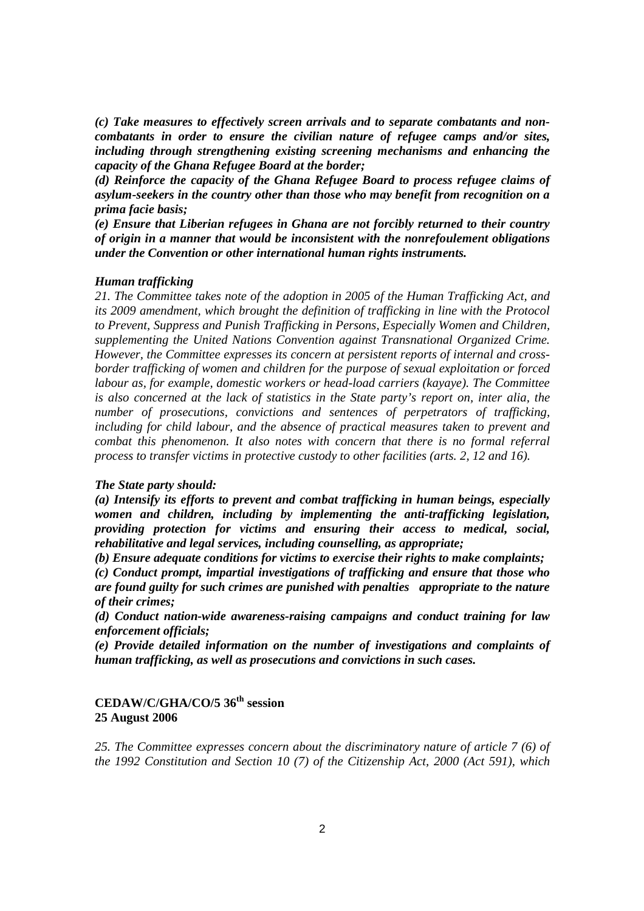*(c) Take measures to effectively screen arrivals and to separate combatants and noncombatants in order to ensure the civilian nature of refugee camps and/or sites, including through strengthening existing screening mechanisms and enhancing the capacity of the Ghana Refugee Board at the border;* 

*(d) Reinforce the capacity of the Ghana Refugee Board to process refugee claims of asylum-seekers in the country other than those who may benefit from recognition on a prima facie basis;* 

*(e) Ensure that Liberian refugees in Ghana are not forcibly returned to their country of origin in a manner that would be inconsistent with the nonrefoulement obligations under the Convention or other international human rights instruments.* 

#### *Human trafficking*

*21. The Committee takes note of the adoption in 2005 of the Human Trafficking Act, and its 2009 amendment, which brought the definition of trafficking in line with the Protocol to Prevent, Suppress and Punish Trafficking in Persons, Especially Women and Children, supplementing the United Nations Convention against Transnational Organized Crime. However, the Committee expresses its concern at persistent reports of internal and crossborder trafficking of women and children for the purpose of sexual exploitation or forced labour as, for example, domestic workers or head-load carriers (kayaye). The Committee is also concerned at the lack of statistics in the State party's report on, inter alia, the number of prosecutions, convictions and sentences of perpetrators of trafficking, including for child labour, and the absence of practical measures taken to prevent and combat this phenomenon. It also notes with concern that there is no formal referral process to transfer victims in protective custody to other facilities (arts. 2, 12 and 16).* 

#### *The State party should:*

*(a) Intensify its efforts to prevent and combat trafficking in human beings, especially women and children, including by implementing the anti-trafficking legislation, providing protection for victims and ensuring their access to medical, social, rehabilitative and legal services, including counselling, as appropriate;* 

*(b) Ensure adequate conditions for victims to exercise their rights to make complaints;* 

*(c) Conduct prompt, impartial investigations of trafficking and ensure that those who are found guilty for such crimes are punished with penalties appropriate to the nature of their crimes;* 

*(d) Conduct nation-wide awareness-raising campaigns and conduct training for law enforcement officials;* 

*(e) Provide detailed information on the number of investigations and complaints of human trafficking, as well as prosecutions and convictions in such cases.* 

### **CEDAW/C/GHA/CO/5 36th session 25 August 2006**

*25. The Committee expresses concern about the discriminatory nature of article 7 (6) of the 1992 Constitution and Section 10 (7) of the Citizenship Act, 2000 (Act 591), which*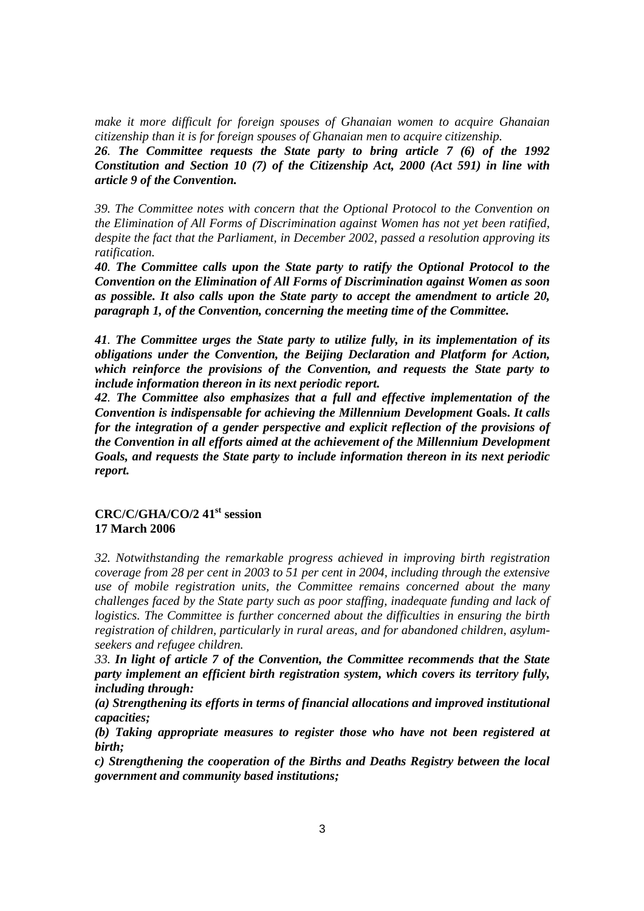*make it more difficult for foreign spouses of Ghanaian women to acquire Ghanaian citizenship than it is for foreign spouses of Ghanaian men to acquire citizenship.* 

*26. The Committee requests the State party to bring article 7 (6) of the 1992 Constitution and Section 10 (7) of the Citizenship Act, 2000 (Act 591) in line with article 9 of the Convention.* 

*39. The Committee notes with concern that the Optional Protocol to the Convention on the Elimination of All Forms of Discrimination against Women has not yet been ratified, despite the fact that the Parliament, in December 2002, passed a resolution approving its ratification.* 

*40. The Committee calls upon the State party to ratify the Optional Protocol to the Convention on the Elimination of All Forms of Discrimination against Women as soon as possible. It also calls upon the State party to accept the amendment to article 20, paragraph 1, of the Convention, concerning the meeting time of the Committee.* 

*41. The Committee urges the State party to utilize fully, in its implementation of its obligations under the Convention, the Beijing Declaration and Platform for Action, which reinforce the provisions of the Convention, and requests the State party to include information thereon in its next periodic report.* 

*42. The Committee also emphasizes that a full and effective implementation of the Convention is indispensable for achieving the Millennium Development* **Goals.** *It calls for the integration of a gender perspective and explicit reflection of the provisions of the Convention in all efforts aimed at the achievement of the Millennium Development Goals, and requests the State party to include information thereon in its next periodic report.* 

## **CRC/C/GHA/CO/2 41st session 17 March 2006**

*32. Notwithstanding the remarkable progress achieved in improving birth registration coverage from 28 per cent in 2003 to 51 per cent in 2004, including through the extensive use of mobile registration units, the Committee remains concerned about the many challenges faced by the State party such as poor staffing, inadequate funding and lack of logistics. The Committee is further concerned about the difficulties in ensuring the birth registration of children, particularly in rural areas, and for abandoned children, asylumseekers and refugee children.* 

*33. In light of article 7 of the Convention, the Committee recommends that the State party implement an efficient birth registration system, which covers its territory fully, including through:* 

*(a) Strengthening its efforts in terms of financial allocations and improved institutional capacities;* 

*(b) Taking appropriate measures to register those who have not been registered at birth;* 

*c) Strengthening the cooperation of the Births and Deaths Registry between the local government and community based institutions;*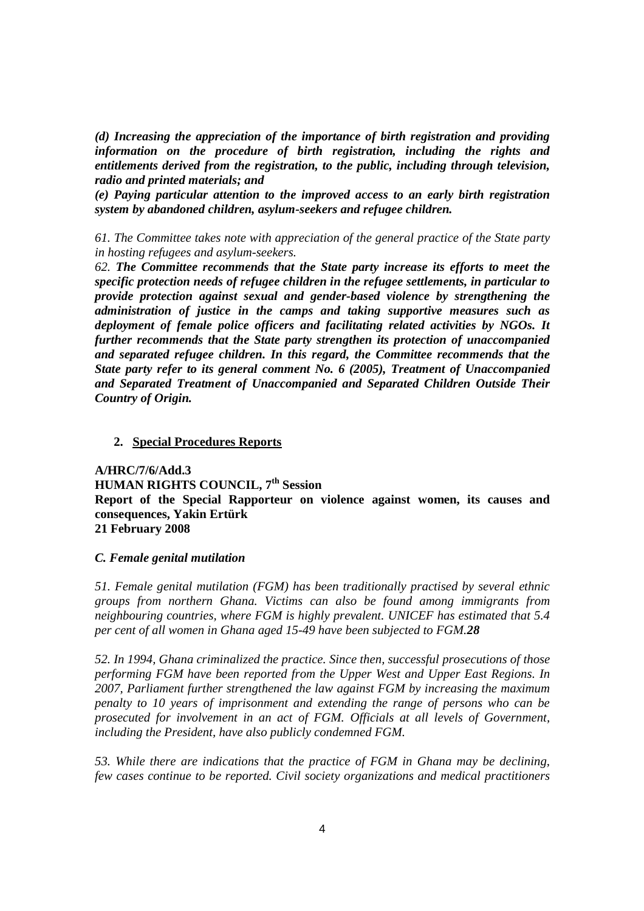*(d) Increasing the appreciation of the importance of birth registration and providing information on the procedure of birth registration, including the rights and entitlements derived from the registration, to the public, including through television, radio and printed materials; and* 

*(e) Paying particular attention to the improved access to an early birth registration system by abandoned children, asylum-seekers and refugee children.*

*61. The Committee takes note with appreciation of the general practice of the State party in hosting refugees and asylum-seekers.* 

*62. The Committee recommends that the State party increase its efforts to meet the specific protection needs of refugee children in the refugee settlements, in particular to provide protection against sexual and gender-based violence by strengthening the administration of justice in the camps and taking supportive measures such as deployment of female police officers and facilitating related activities by NGOs. It further recommends that the State party strengthen its protection of unaccompanied and separated refugee children. In this regard, the Committee recommends that the State party refer to its general comment No. 6 (2005), Treatment of Unaccompanied and Separated Treatment of Unaccompanied and Separated Children Outside Their Country of Origin.* 

#### **2. Special Procedures Reports**

**A/HRC/7/6/Add.3 HUMAN RIGHTS COUNCIL, 7th Session Report of the Special Rapporteur on violence against women, its causes and consequences, Yakin Ertürk 21 February 2008** 

#### *C. Female genital mutilation*

*51. Female genital mutilation (FGM) has been traditionally practised by several ethnic groups from northern Ghana. Victims can also be found among immigrants from neighbouring countries, where FGM is highly prevalent. UNICEF has estimated that 5.4 per cent of all women in Ghana aged 15-49 have been subjected to FGM.28* 

*52. In 1994, Ghana criminalized the practice. Since then, successful prosecutions of those performing FGM have been reported from the Upper West and Upper East Regions. In 2007, Parliament further strengthened the law against FGM by increasing the maximum penalty to 10 years of imprisonment and extending the range of persons who can be prosecuted for involvement in an act of FGM. Officials at all levels of Government, including the President, have also publicly condemned FGM.* 

*53. While there are indications that the practice of FGM in Ghana may be declining, few cases continue to be reported. Civil society organizations and medical practitioners*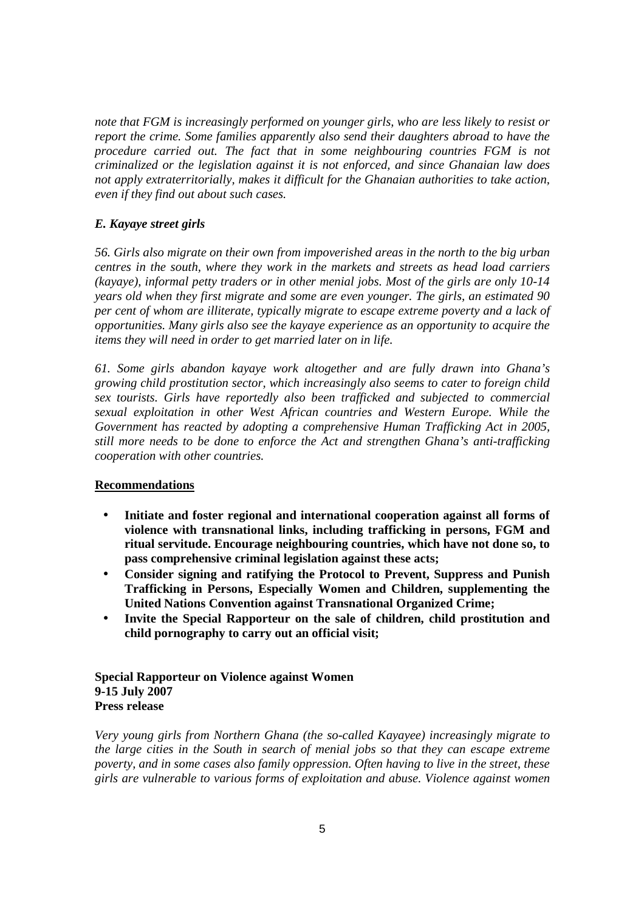*note that FGM is increasingly performed on younger girls, who are less likely to resist or report the crime. Some families apparently also send their daughters abroad to have the procedure carried out. The fact that in some neighbouring countries FGM is not criminalized or the legislation against it is not enforced, and since Ghanaian law does not apply extraterritorially, makes it difficult for the Ghanaian authorities to take action, even if they find out about such cases.* 

### *E. Kayaye street girls*

*56. Girls also migrate on their own from impoverished areas in the north to the big urban centres in the south, where they work in the markets and streets as head load carriers (kayaye), informal petty traders or in other menial jobs. Most of the girls are only 10-14 years old when they first migrate and some are even younger. The girls, an estimated 90 per cent of whom are illiterate, typically migrate to escape extreme poverty and a lack of opportunities. Many girls also see the kayaye experience as an opportunity to acquire the items they will need in order to get married later on in life.* 

*61. Some girls abandon kayaye work altogether and are fully drawn into Ghana's growing child prostitution sector, which increasingly also seems to cater to foreign child sex tourists. Girls have reportedly also been trafficked and subjected to commercial sexual exploitation in other West African countries and Western Europe. While the Government has reacted by adopting a comprehensive Human Trafficking Act in 2005, still more needs to be done to enforce the Act and strengthen Ghana's anti-trafficking cooperation with other countries.*

#### **Recommendations**

- **Initiate and foster regional and international cooperation against all forms of violence with transnational links, including trafficking in persons, FGM and ritual servitude. Encourage neighbouring countries, which have not done so, to pass comprehensive criminal legislation against these acts;**
- **Consider signing and ratifying the Protocol to Prevent, Suppress and Punish Trafficking in Persons, Especially Women and Children, supplementing the United Nations Convention against Transnational Organized Crime;**
- **Invite the Special Rapporteur on the sale of children, child prostitution and child pornography to carry out an official visit;**

### **Special Rapporteur on Violence against Women 9-15 July 2007 Press release**

*Very young girls from Northern Ghana (the so-called Kayayee) increasingly migrate to the large cities in the South in search of menial jobs so that they can escape extreme poverty, and in some cases also family oppression. Often having to live in the street, these girls are vulnerable to various forms of exploitation and abuse. Violence against women*